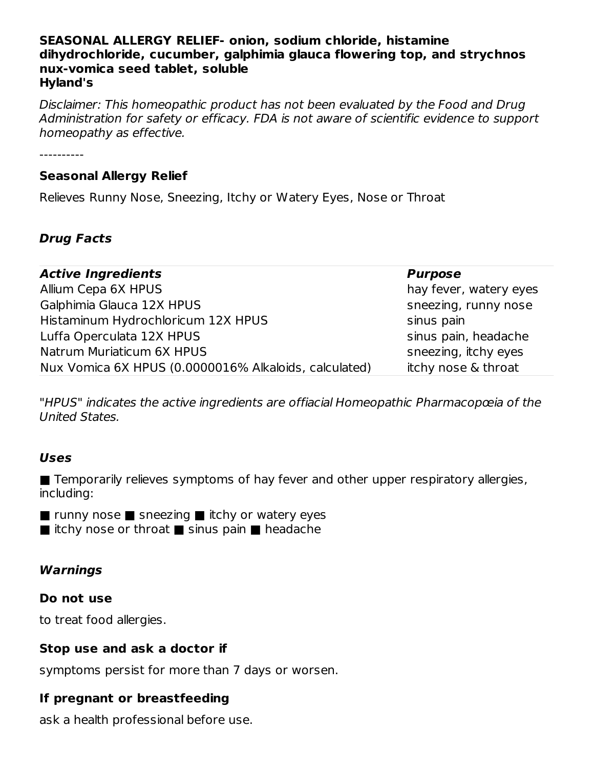#### **SEASONAL ALLERGY RELIEF- onion, sodium chloride, histamine dihydrochloride, cucumber, galphimia glauca flowering top, and strychnos nux-vomica seed tablet, soluble Hyland's**

Disclaimer: This homeopathic product has not been evaluated by the Food and Drug Administration for safety or efficacy. FDA is not aware of scientific evidence to support homeopathy as effective.

----------

#### **Seasonal Allergy Relief**

Relieves Runny Nose, Sneezing, Itchy or Watery Eyes, Nose or Throat

# **Drug Facts**

| <b>Active Ingredients</b>                             | <b>Purpose</b>         |
|-------------------------------------------------------|------------------------|
| Allium Cepa 6X HPUS                                   | hay fever, watery eyes |
| Galphimia Glauca 12X HPUS                             | sneezing, runny nose   |
| Histaminum Hydrochloricum 12X HPUS                    | sinus pain             |
| Luffa Operculata 12X HPUS                             | sinus pain, headache   |
| Natrum Muriaticum 6X HPUS                             | sneezing, itchy eyes   |
| Nux Vomica 6X HPUS (0.0000016% Alkaloids, calculated) | itchy nose & throat    |

"HPUS" indicates the active ingredients are offiacial Homeopathic Pharmacopœia of the United States.

#### **Uses**

■ Temporarily relieves symptoms of hay fever and other upper respiratory allergies, including:

■ runny nose ■ sneezing ■ itchy or watery eyes

■ itchy nose or throat ■ sinus pain ■ headache

# **Warnings**

#### **Do not use**

to treat food allergies.

#### **Stop use and ask a doctor if**

symptoms persist for more than 7 days or worsen.

# **If pregnant or breastfeeding**

ask a health professional before use.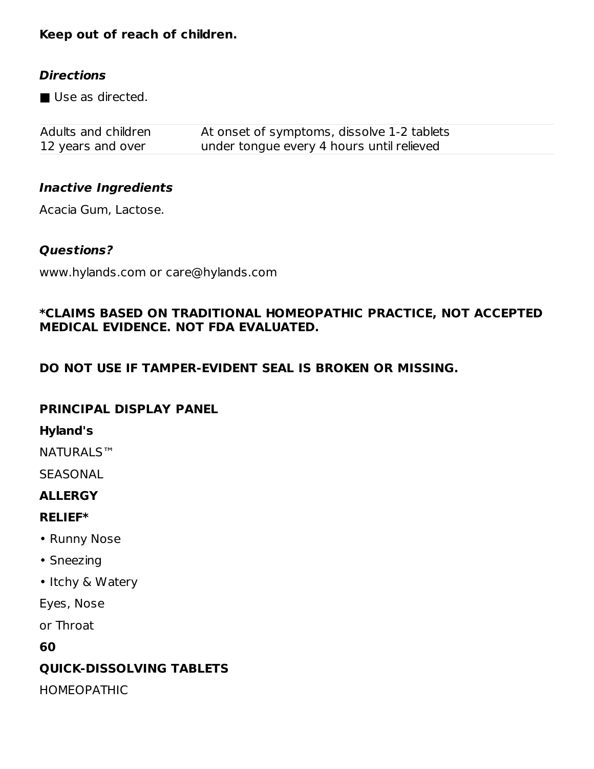# **Keep out of reach of children.**

## **Directions**

■ Use as directed.

| Adults and children | At onset of symptoms, dissolve 1-2 tablets |
|---------------------|--------------------------------------------|
| 12 years and over   | under tongue every 4 hours until relieved  |

# **Inactive Ingredients**

Acacia Gum, Lactose.

### **Questions?**

www.hylands.com or care@hylands.com

## **\*CLAIMS BASED ON TRADITIONAL HOMEOPATHIC PRACTICE, NOT ACCEPTED MEDICAL EVIDENCE. NOT FDA EVALUATED.**

# **DO NOT USE IF TAMPER-EVIDENT SEAL IS BROKEN OR MISSING.**

#### **PRINCIPAL DISPLAY PANEL**

#### **Hyland's**

NATURALS™

**SEASONAL** 

# **ALLERGY**

# **RELIEF\***

- Runny Nose
- Sneezing
- Itchy & Watery

Eyes, Nose

or Throat

**60**

# **QUICK-DISSOLVING TABLETS**

HOMEOPATHIC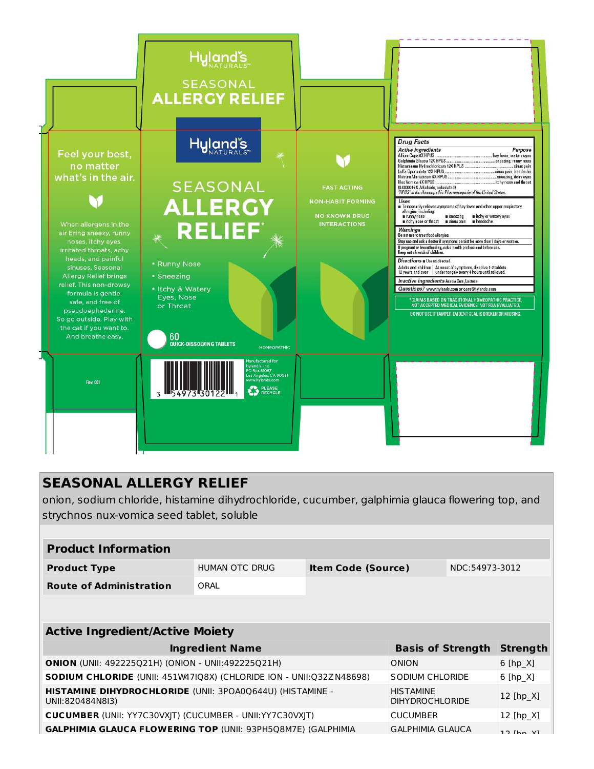

# **SEASONAL ALLERGY RELIEF**

onion, sodium chloride, histamine dihydrochloride, cucumber, galphimia glauca flowering top, and strychnos nux-vomica seed tablet, soluble

| <b>Product Information</b>                                                           |                          |                           |                                            |                |                 |  |
|--------------------------------------------------------------------------------------|--------------------------|---------------------------|--------------------------------------------|----------------|-----------------|--|
| <b>Product Type</b>                                                                  | HUMAN OTC DRUG           | <b>Item Code (Source)</b> |                                            | NDC:54973-3012 |                 |  |
| <b>Route of Administration</b>                                                       | ORAL                     |                           |                                            |                |                 |  |
|                                                                                      |                          |                           |                                            |                |                 |  |
| <b>Active Ingredient/Active Moiety</b>                                               |                          |                           |                                            |                |                 |  |
|                                                                                      |                          |                           |                                            |                |                 |  |
| <b>Ingredient Name</b>                                                               | <b>Basis of Strength</b> |                           | <b>Strength</b>                            |                |                 |  |
| <b>ONION</b> (UNII: 492225Q21H) (ONION - UNII:492225Q21H)                            |                          |                           | ONION                                      |                | $6$ [hp_X]      |  |
| <b>SODIUM CHLORIDE</b> (UNII: 451W47IQ8X) (CHLORIDE ION - UNII: 032ZN48698)          |                          |                           | SODIUM CHLORIDE                            |                | $6$ [hp $X$ ]   |  |
| <b>HISTAMINE DIHYDROCHLORIDE (UNII: 3POA00644U) (HISTAMINE -</b><br>UNII:820484N8I3) |                          |                           | <b>HISTAMINE</b><br><b>DIHYDROCHLORIDE</b> |                | 12 [hp_X]       |  |
| <b>CUCUMBER (UNII: YY7C30VXIT) (CUCUMBER - UNII:YY7C30VXIT)</b>                      |                          |                           | <b>CUCUMBER</b>                            |                | 12 [hp $X$ ]    |  |
| <b>GALPHIMIA GLAUCA FLOWERING TOP (UNII: 93PH5Q8M7E) (GALPHIMIA</b>                  |                          |                           | <b>GALPHIMIA GLAUCA</b>                    |                | $12$ $[hn$ $V1$ |  |